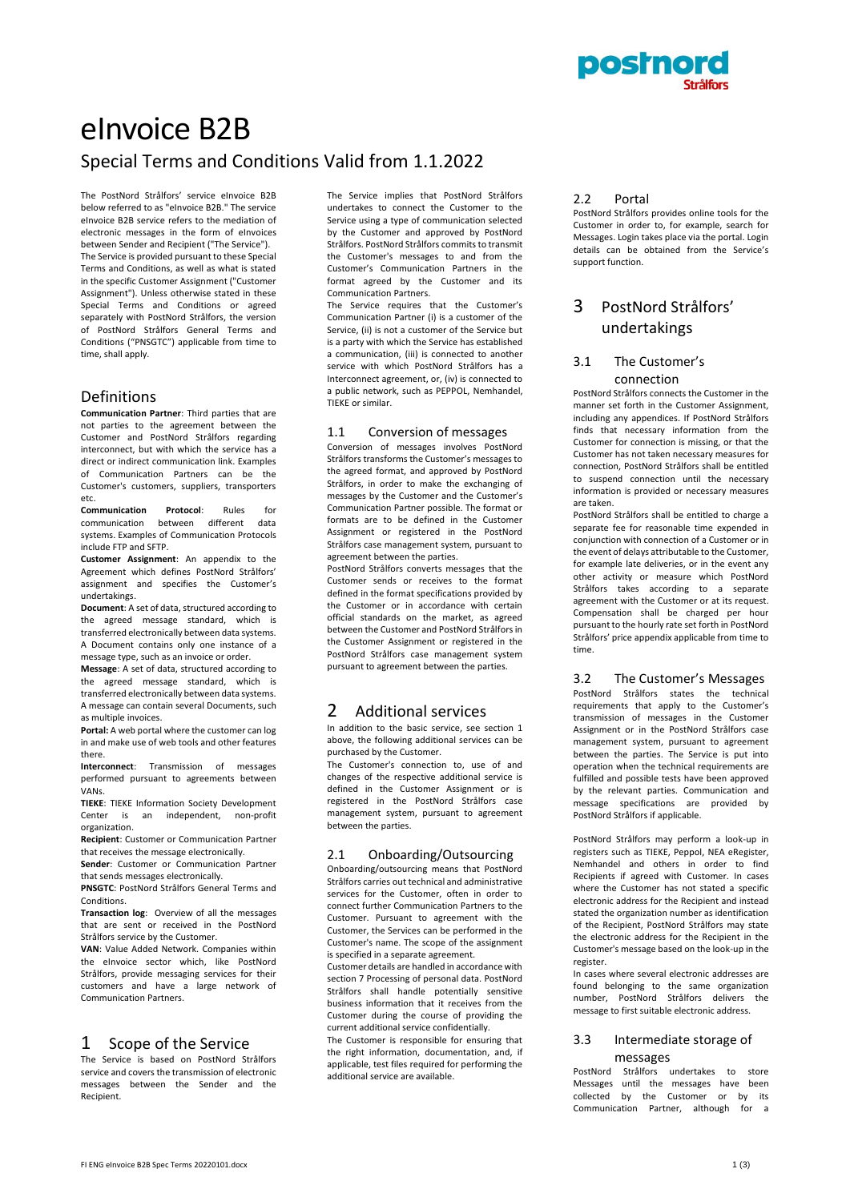

# eInvoice B2B Special Terms and Conditions Valid from 1.1.2022

The PostNord Strålfors' service eInvoice B2B below referred to as "eInvoice B2B." The service eInvoice B2B service refers to the mediation of electronic messages in the form of eInvoices between Sender and Recipient ("The Service"). The Service is provided pursuant to these Special Terms and Conditions, as well as what is stated in the specific Customer Assignment ("Customer Assignment"). Unless otherwise stated in these Special Terms and Conditions or agreed separately with PostNord Strålfors, the version of PostNord Strålfors General Terms and Conditions ("PNSGTC") applicable from time to time, shall apply.

### Definitions

**Communication Partner**: Third parties that are not parties to the agreement between the Customer and PostNord Strålfors regarding interconnect, but with which the service has a direct or indirect communication link. Examples of Communication Partners can be the Customer's customers, suppliers, transporters etc.

**Communication Protocol**: Rules for communication between different data systems. Examples of Communication Protocols include FTP and SFTP.

**Customer Assignment**: An appendix to the Agreement which defines PostNord Strålfors' assignment and specifies the Customer's undertakings.

**Document**: A set of data, structured according to the agreed message standard, which is transferred electronically between data systems. A Document contains only one instance of a message type, such as an invoice or order.

**Message**: A set of data, structured according to the agreed message standard, which is transferred electronically between data systems. A message can contain several Documents, such as multiple invoices.

**Portal:** A web portal where the customer can log in and make use of web tools and other features there.

**Interconnect**: Transmission of messages performed pursuant to agreements between VANs.

**TIEKE**: TIEKE Information Society Development Center is an independent, non-profit organization.

**Recipient**: Customer or Communication Partner that receives the message electronically.

**Sender**: Customer or Communication Partner that sends messages electronically.

**PNSGTC**: PostNord Strålfors General Terms and Conditions.

**Transaction log**: Overview of all the messages that are sent or received in the PostNord Strålfors service by the Customer.

**VAN**: Value Added Network. Companies within the eInvoice sector which, like PostNord Strålfors, provide messaging services for their customers and have a large network of Communication Partners.

## 1 Scope of the Service

The Service is based on PostNord Strålfors service and covers the transmission of electronic messages between the Sender and the Recipient.

The Service implies that PostNord Strålfors undertakes to connect the Customer to the Service using a type of communication selected by the Customer and approved by PostNord Strålfors. PostNord Strålfors commits to transmit the Customer's messages to and from the Customer's Communication Partners in the format agreed by the Customer and its Communication Partners.

The Service requires that the Customer's Communication Partner (i) is a customer of the Service, (ii) is not a customer of the Service but is a party with which the Service has established a communication, (iii) is connected to another service with which PostNord Strålfors has a Interconnect agreement, or, (iv) is connected to a public network, such as PEPPOL, Nemhandel, TIEKE or similar.

#### 1.1 Conversion of messages

Conversion of messages involves PostNord Strålfors transforms the Customer's messages to the agreed format, and approved by PostNord Strålfors, in order to make the exchanging of messages by the Customer and the Customer's Communication Partner possible. The format or formats are to be defined in the Customer Assignment or registered in the PostNord Strålfors case management system, pursuant to agreement between the parties.

PostNord Strålfors converts messages that the Customer sends or receives to the format defined in the format specifications provided by the Customer or in accordance with certain official standards on the market, as agreed between the Customer and PostNord Strålfors in the Customer Assignment or registered in the PostNord Strålfors case management system pursuant to agreement between the parties.

## 2 Additional services

In addition to the basic service, see section 1 above, the following additional services can be purchased by the Customer.

The Customer's connection to, use of and changes of the respective additional service is defined in the Customer Assignment or is registered in the PostNord Strålfors case management system, pursuant to agreement between the parties.

#### 2.1 Onboarding/Outsourcing

Onboarding/outsourcing means that PostNord Strålfors carries out technical and administrative services for the Customer, often in order to connect further Communication Partners to the Customer. Pursuant to agreement with the Customer, the Services can be performed in the Customer's name. The scope of the assignment is specified in a separate agreement.

Customer details are handled in accordance with section 7 Processing of personal data. PostNord Strålfors shall handle potentially sensitive business information that it receives from the Customer during the course of providing the current additional service confidentially.

The Customer is responsible for ensuring that the right information, documentation, and, if applicable, test files required for performing the additional service are available.

#### 2.2 Portal

PostNord Strålfors provides online tools for the Customer in order to, for example, search for Messages. Login takes place via the portal. Login details can be obtained from the Service's support function.

## 3 PostNord Strålfors' undertakings

### 3.1 The Customer's connection

PostNord Strålfors connects the Customer in the manner set forth in the Customer Assignment, including any appendices. If PostNord Strålfors finds that necessary information from the Customer for connection is missing, or that the Customer has not taken necessary measures for connection, PostNord Strålfors shall be entitled to suspend connection until the necessary information is provided or necessary measures are taken.

PostNord Strålfors shall be entitled to charge a separate fee for reasonable time expended in conjunction with connection of a Customer or in the event of delays attributable to the Customer, for example late deliveries, or in the event any other activity or measure which PostNord Strålfors takes according to a separate agreement with the Customer or at its request. Compensation shall be charged per hour pursuant to the hourly rate set forth in PostNord Strålfors' price appendix applicable from time to time.

3.2 The Customer's Messages PostNord Strålfors states the technical requirements that apply to the Customer's transmission of messages in the Customer Assignment or in the PostNord Strålfors case management system, pursuant to agreement between the parties. The Service is put into operation when the technical requirements are fulfilled and possible tests have been approved by the relevant parties. Communication and message specifications are provided by PostNord Strålfors if applicable.

PostNord Strålfors may perform a look-up in registers such as TIEKE, Peppol, NEA eRegister, Nemhandel and others in order to find Recipients if agreed with Customer. In cases where the Customer has not stated a specific electronic address for the Recipient and instead stated the organization number as identification of the Recipient, PostNord Strålfors may state the electronic address for the Recipient in the Customer's message based on the look-up in the register.

In cases where several electronic addresses are found belonging to the same organization number, PostNord Strålfors delivers the message to first suitable electronic address.

#### 3.3 Intermediate storage of messages

PostNord Strålfors undertakes to store Messages until the messages have been collected by the Customer or by its<br>Communication Partner, although for a Communication Partner, although for a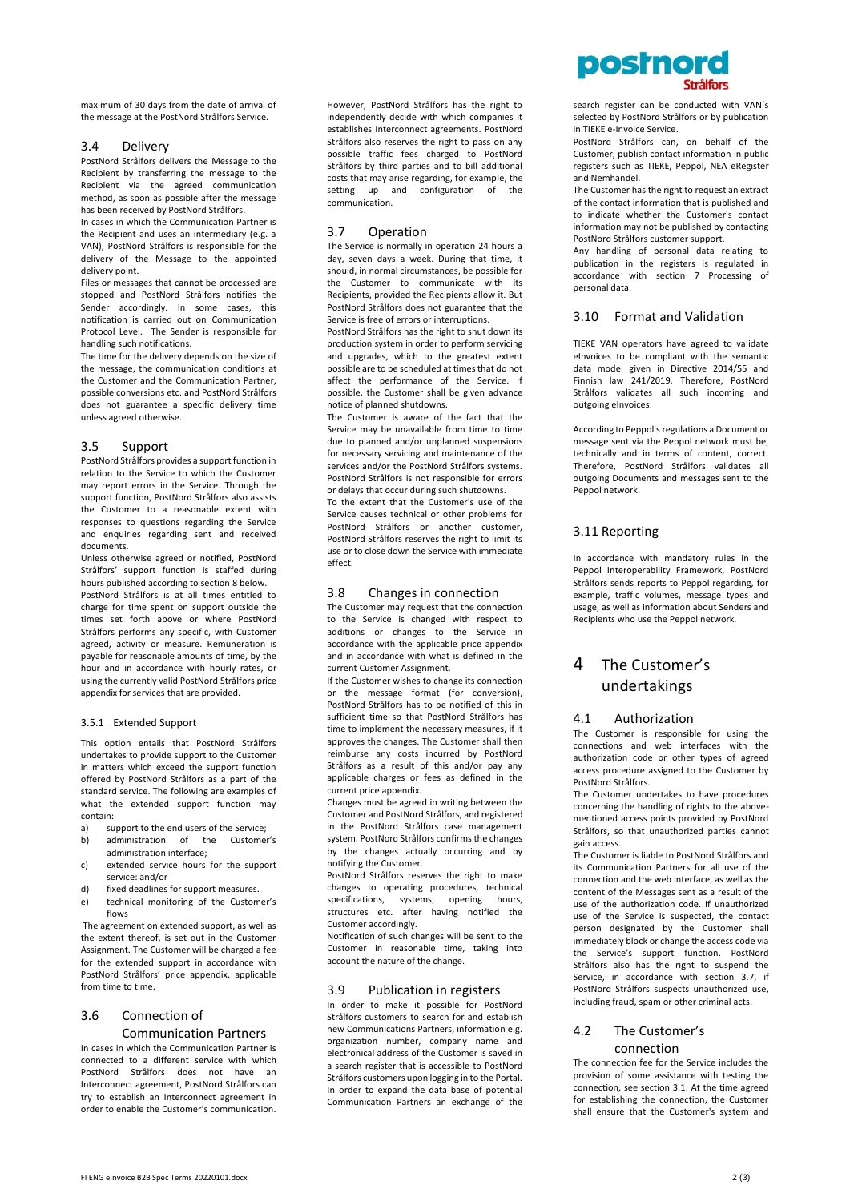maximum of 30 days from the date of arrival of the message at the PostNord Strålfors Service.

#### 3.4 Delivery

PostNord Strålfors delivers the Message to the Recipient by transferring the message to the Recipient via the agreed communication method, as soon as possible after the message has been received by PostNord Strålfors.

In cases in which the Communication Partner is the Recipient and uses an intermediary (e.g. a VAN), PostNord Strålfors is responsible for the delivery of the Message to the appointed delivery point.

Files or messages that cannot be processed are stopped and PostNord Strålfors notifies the Sender accordingly. In some cases, this notification is carried out on Communication Protocol Level. The Sender is responsible for handling such notifications.

The time for the delivery depends on the size of the message, the communication conditions at the Customer and the Communication Partner, possible conversions etc. and PostNord Strålfors does not guarantee a specific delivery time unless agreed otherwise.

#### 3.5 Support

PostNord Strålfors provides a support function in relation to the Service to which the Customer may report errors in the Service. Through the support function, PostNord Strålfors also assists the Customer to a reasonable extent with responses to questions regarding the Service and enquiries regarding sent and received documents.

Unless otherwise agreed or notified, PostNord Strålfors' support function is staffed during hours published according to sectio[n 8](#page-2-0) below.

PostNord Strålfors is at all times entitled to charge for time spent on support outside the times set forth above or where PostNord Strålfors performs any specific, with Customer agreed, activity or measure. Remuneration is payable for reasonable amounts of time, by the hour and in accordance with hourly rates, or using the currently valid PostNord Strålfors price appendix for services that are provided.

#### 3.5.1 Extended Support

This option entails that PostNord Strålfors undertakes to provide support to the Customer in matters which exceed the support function offered by PostNord Strålfors as a part of the standard service. The following are examples of what the extended support function may contain:

- a) support to the end users of the Service; b) administration of the Customer's
- administration interface; c) extended service hours for the support
- service: and/or
- d) fixed deadlines for support measures.
- e) technical monitoring of the Customer's flows

The agreement on extended support, as well as the extent thereof, is set out in the Customer Assignment. The Customer will be charged a fee for the extended support in accordance with PostNord Strålfors' price appendix, applicable from time to time.

#### 3.6 Connection of

#### Communication Partners

In cases in which the Communication Partner is connected to a different service with which PostNord Strålfors does not have an Interconnect agreement, PostNord Strålfors can try to establish an Interconnect agreement in order to enable the Customer's communication.

However, PostNord Strålfors has the right to independently decide with which companies it establishes Interconnect agreements. PostNord Strålfors also reserves the right to pass on any possible traffic fees charged to PostNord Strålfors by third parties and to bill additional costs that may arise regarding, for example, the setting up and configuration of the communication.

#### 3.7 Operation

The Service is normally in operation 24 hours a day, seven days a week. During that time, it should, in normal circumstances, be possible for the Customer to communicate with its Recipients, provided the Recipients allow it. But PostNord Strålfors does not guarantee that the Service is free of errors or interruptions. PostNord Strålfors has the right to shut down its production system in order to perform servicing

and upgrades, which to the greatest extent possible are to be scheduled at times that do not affect the performance of the Service. If possible, the Customer shall be given advance notice of planned shutdowns.

The Customer is aware of the fact that the Service may be unavailable from time to time due to planned and/or unplanned suspensions for necessary servicing and maintenance of the services and/or the PostNord Strålfors systems. PostNord Strålfors is not responsible for errors or delays that occur during such shutdowns.

To the extent that the Customer's use of the Service causes technical or other problems for PostNord Strålfors or another customer, PostNord Strålfors reserves the right to limit its use or to close down the Service with immediate effect.

#### 3.8 Changes in connection

The Customer may request that the connection to the Service is changed with respect to additions or changes to the Service in accordance with the applicable price appendix and in accordance with what is defined in the current Customer Assignment.

If the Customer wishes to change its connection or the message format (for conversion), PostNord Strålfors has to be notified of this in sufficient time so that PostNord Strålfors has time to implement the necessary measures, if it approves the changes. The Customer shall then reimburse any costs incurred by PostNord Strålfors as a result of this and/or pay any applicable charges or fees as defined in the current price appendix.

Changes must be agreed in writing between the Customer and PostNord Strålfors, and registered in the PostNord Strålfors case management system. PostNord Strålfors confirms the changes by the changes actually occurring and by notifying the Customer.

PostNord Strålfors reserves the right to make changes to operating procedures, technical specifications, systems, opening hours, structures etc. after having notified the Customer accordingly.

Notification of such changes will be sent to the Customer in reasonable time, taking into account the nature of the change.

#### <span id="page-1-0"></span>3.9 Publication in registers

In order to make it possible for PostNord Strålfors customers to search for and establish new Communications Partners, information e.g. organization number, company name and electronical address of the Customer is saved in a search register that is accessible to PostNord Strålfors customers upon logging in to the Portal. In order to expand the data base of potential Communication Partners an exchange of the

search register can be conducted with VAN´s selected by PostNord Strålfors or by publication in TIEKE e-Invoice Service.

PostNord Strålfors can, on behalf of the Customer, publish contact information in public registers such as TIEKE, Peppol, NEA eRegister and Nemhandel.

The Customer has the right to request an extract of the contact information that is published and to indicate whether the Customer's contact information may not be published by contacting PostNord Strålfors customer support.

Any handling of personal data relating to publication in the registers is regulated in accordance with section [7](#page-2-1) [Processing of](#page-2-1)  [personal data.](#page-2-1) 

#### 3.10 Format and Validation

TIEKE VAN operators have agreed to validate eInvoices to be compliant with the semantic data model given in Directive 2014/55 and Finnish law 241/2019. Therefore, PostNord Strålfors validates all such incoming and outgoing eInvoices.

According to Peppol's regulations a Document or message sent via the Peppol network must be, technically and in terms of content, correct. Therefore, PostNord Strålfors validates all outgoing Documents and messages sent to the Peppol network.

#### 3.11 Reporting

In accordance with mandatory rules in the Peppol Interoperability Framework, PostNord Strålfors sends reports to Peppol regarding, for example, traffic volumes, message types and usage, as well as information about Senders and Recipients who use the Peppol network.

## 4 The Customer's undertakings

#### 4.1 Authorization

The Customer is responsible for using the connections and web interfaces with the authorization code or other types of agreed access procedure assigned to the Customer by PostNord Strålfors.

The Customer undertakes to have procedures concerning the handling of rights to the abovementioned access points provided by PostNord Strålfors, so that unauthorized parties cannot gain access.

The Customer is liable to PostNord Strålfors and its Communication Partners for all use of the connection and the web interface, as well as the content of the Messages sent as a result of the use of the authorization code. If unauthorized use of the Service is suspected, the contact person designated by the Customer shall immediately block or change the access code via the Service's support function. PostNord Strålfors also has the right to suspend the Service, in accordance with section 3.7, if PostNord Strålfors suspects unauthorized use, including fraud, spam or other criminal acts.

#### 4.2 The Customer's connection

The connection fee for the Service includes the provision of some assistance with testing the connection, see section 3.1. At the time agreed for establishing the connection, the Customer shall ensure that the Customer's system and